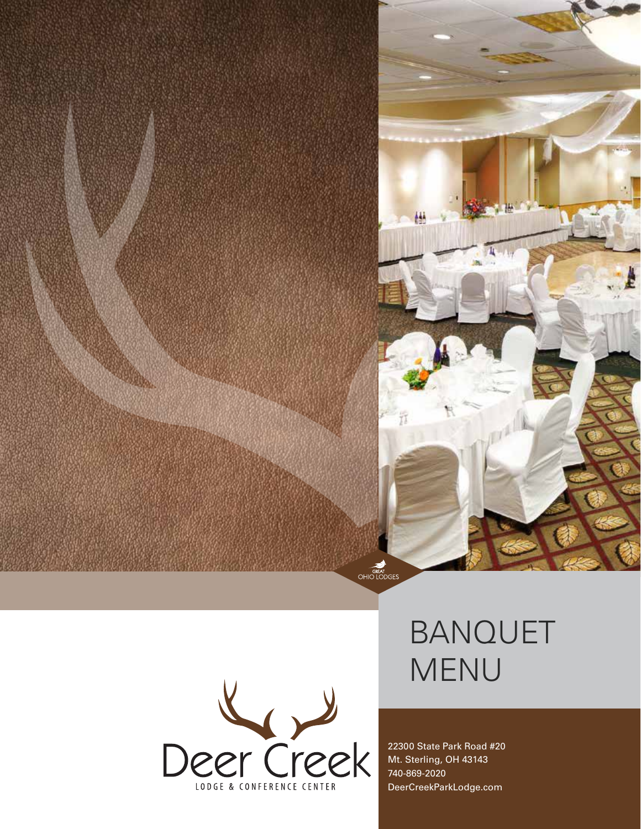



# BANQUET MENU

22300 State Park Road #20 Mt. Sterling, OH 43143 740-869-2020 DeerCreekParkLodge.com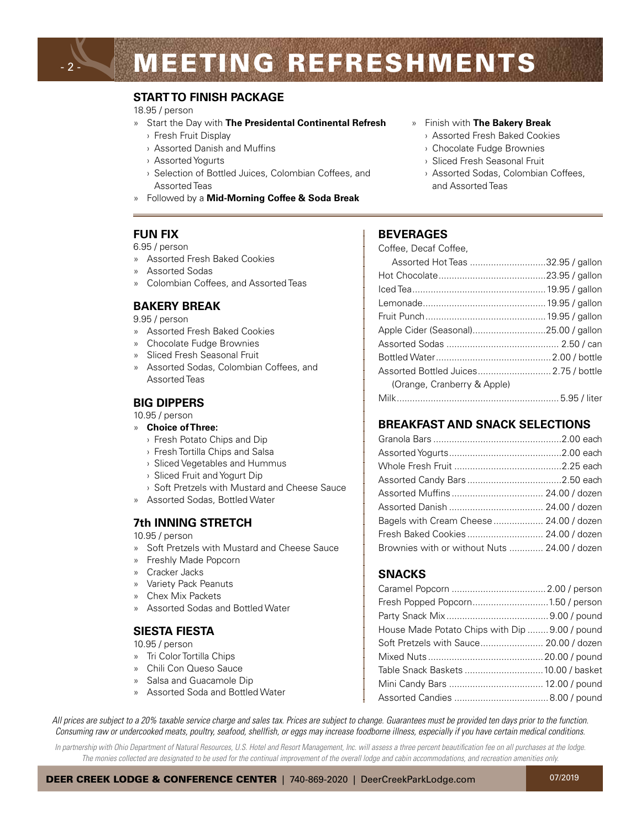# **MEETING REFRESHMENTS**

#### **START TO FINISH PACKAGE**

#### 18.95 / person

- » Start the Day with **The Presidental Continental Refresh**
	- › Fresh Fruit Display
	- › Assorted Danish and Muffins
	- › Assorted Yogurts
	- › Selection of Bottled Juices, Colombian Coffees, and Assorted Teas
- » Followed by a **Mid-Morning Coffee & Soda Break**

#### **FUN FIX**

- 6.95 / person
- » Assorted Fresh Baked Cookies
- » Assorted Sodas
- » Colombian Coffees, and Assorted Teas

#### **BAKERY BREAK**

9.95 / person

- » Assorted Fresh Baked Cookies
- » Chocolate Fudge Brownies
- » Sliced Fresh Seasonal Fruit
- » Assorted Sodas, Colombian Coffees, and Assorted Teas

#### **BIG DIPPERS**

10.95 / person

- » **Choice of Three:**
	- › Fresh Potato Chips and Dip
	- › Fresh Tortilla Chips and Salsa
	- › Sliced Vegetables and Hummus
	- › Sliced Fruit and Yogurt Dip
	- › Soft Pretzels with Mustard and Cheese Sauce
- » Assorted Sodas, Bottled Water

#### **7th INNING STRETCH**

#### 10.95 / person

- » Soft Pretzels with Mustard and Cheese Sauce
- » Freshly Made Popcorn
- » Cracker Jacks
- » Variety Pack Peanuts
- » Chex Mix Packets
- » Assorted Sodas and Bottled Water

#### **SIESTA FIESTA**

10.95 / person

- » Tri Color Tortilla Chips
- » Chili Con Queso Sauce
- » Salsa and Guacamole Dip
- » Assorted Soda and Bottled Water

#### » Finish with **The Bakery Break**

- › Assorted Fresh Baked Cookies
- › Chocolate Fudge Brownies
- › Sliced Fresh Seasonal Fruit
- › Assorted Sodas, Colombian Coffees, and Assorted Teas

#### **BEVERAGES**

| Coffee, Decaf Coffee,                 |  |
|---------------------------------------|--|
| Assorted Hot Teas 32.95 / gallon      |  |
|                                       |  |
|                                       |  |
|                                       |  |
|                                       |  |
|                                       |  |
|                                       |  |
|                                       |  |
| Assorted Bottled Juices 2.75 / bottle |  |
| (Orange, Cranberry & Apple)           |  |
|                                       |  |

#### **BREAKFAST AND SNACK SELECTIONS**

| Bagels with Cream Cheese  24.00 / dozen      |  |
|----------------------------------------------|--|
|                                              |  |
| Brownies with or without Nuts  24.00 / dozen |  |

#### **SNACKS**

| House Made Potato Chips with Dip  9.00 / pound |  |
|------------------------------------------------|--|
|                                                |  |
|                                                |  |
| Table Snack Baskets  10.00 / basket            |  |
|                                                |  |
|                                                |  |

*All prices are subject to a 20% taxable service charge and sales tax. Prices are subject to change. Guarantees must be provided ten days prior to the function. Consuming raw or undercooked meats, poultry, seafood, shellfish, or eggs may increase foodborne illness, especially if you have certain medical conditions.*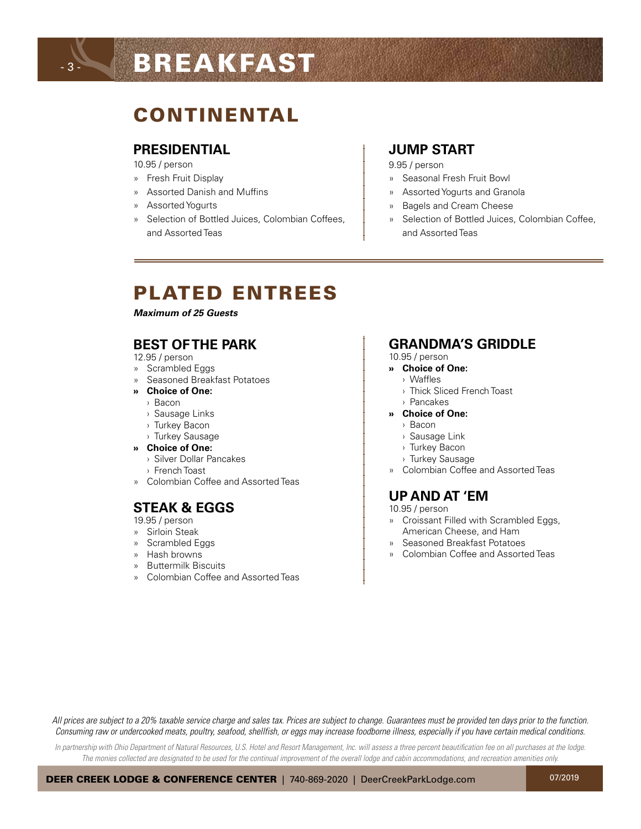# BREAKFAST

# CONTINENTAL

#### **PRESIDENTIAL**

10.95 / person

- 3 -

- » Fresh Fruit Display
- » Assorted Danish and Muffins
- » Assorted Yogurts
- » Selection of Bottled Juices, Colombian Coffees, and Assorted Teas

#### **JUMP START**

9.95 / person

- » Seasonal Fresh Fruit Bowl
- » Assorted Yogurts and Granola
- » Bagels and Cream Cheese
- » Selection of Bottled Juices, Colombian Coffee, and Assorted Teas

## PLATED ENTREES

*Maximum of 25 Guests* 

#### **BEST OF THE PARK**

12.95 / person

- » Scrambled Eggs
- » Seasoned Breakfast Potatoes
- **» Choice of One:**
	- › Bacon
	- › Sausage Links
	- › Turkey Bacon
	- › Turkey Sausage
- **» Choice of One:**
	- › Silver Dollar Pancakes
	- › French Toast
- » Colombian Coffee and Assorted Teas

## **STEAK & EGGS**

19.95 / person

- » Sirloin Steak
- » Scrambled Eggs
- » Hash browns
- » Buttermilk Biscuits
- » Colombian Coffee and Assorted Teas

#### **GRANDMA'S GRIDDLE**

#### 10.95 / person

- **» Choice of One:**
	- › Waffles
	- › Thick Sliced French Toast
	- › Pancakes
- **» Choice of One:**
	- › Bacon
	- › Sausage Link
	- › Turkey Bacon
	- › Turkey Sausage
- » Colombian Coffee and Assorted Teas

## **UP AND AT 'EM**

10.95 / person

- » Croissant Filled with Scrambled Eggs, American Cheese, and Ham
- » Seasoned Breakfast Potatoes
- » Colombian Coffee and Assorted Teas

*All prices are subject to a 20% taxable service charge and sales tax. Prices are subject to change. Guarantees must be provided ten days prior to the function. Consuming raw or undercooked meats, poultry, seafood, shellfish, or eggs may increase foodborne illness, especially if you have certain medical conditions.*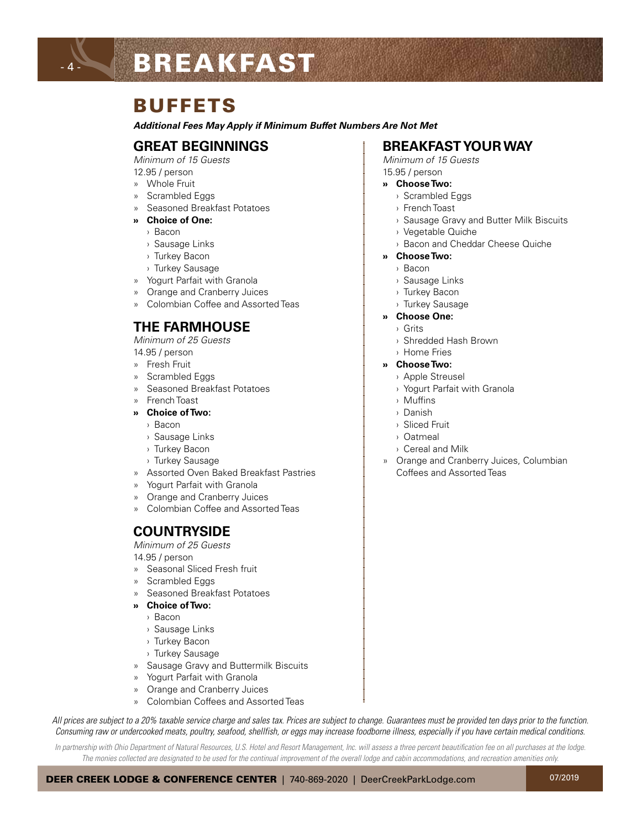# BREAKFAST

## **BUFFFTS**

*Additional Fees May Apply if Minimum Buffet Numbers Are Not Met*

#### **GREAT BEGINNINGS**

*Minimum of 15 Guests*

12.95 / person

- 4 -

- » Whole Fruit
- » Scrambled Eggs
- » Seasoned Breakfast Potatoes
- **» Choice of One:**
	- › Bacon
	- › Sausage Links
	- › Turkey Bacon
	- › Turkey Sausage
- » Yogurt Parfait with Granola
- » Orange and Cranberry Juices
- » Colombian Coffee and Assorted Teas

#### **THE FARMHOUSE**

*Minimum of 25 Guests*

14.95 / person

- » Fresh Fruit
- » Scrambled Eggs
- » Seasoned Breakfast Potatoes
- » French Toast
- **» Choice of Two:**
	- › Bacon
	- › Sausage Links
	- › Turkey Bacon
	- › Turkey Sausage
- » Assorted Oven Baked Breakfast Pastries
- » Yogurt Parfait with Granola
- » Orange and Cranberry Juices
- » Colombian Coffee and Assorted Teas

## **COUNTRYSIDE**

*Minimum of 25 Guests*

14.95 / person

- » Seasonal Sliced Fresh fruit
- » Scrambled Eggs
- » Seasoned Breakfast Potatoes
- **» Choice of Two:**
	- › Bacon
	- › Sausage Links
	- › Turkey Bacon
	- › Turkey Sausage
- » Sausage Gravy and Buttermilk Biscuits
- » Orange and Cranberry Juices
- » Colombian Coffees and Assorted Teas

## » Yogurt Parfait with Granola

*All prices are subject to a 20% taxable service charge and sales tax. Prices are subject to change. Guarantees must be provided ten days prior to the function. Consuming raw or undercooked meats, poultry, seafood, shellfish, or eggs may increase foodborne illness, especially if you have certain medical conditions.*

*In partnership with Ohio Department of Natural Resources, U.S. Hotel and Resort Management, Inc. will assess a three percent beautification fee on all purchases at the lodge.*  The monies collected are designated to be used for the continual improvement of the overall lodge and cabin accommodations, and recreation amenities only.

# **BREAKFAST YOUR WAY**

*Minimum of 15 Guests* 15.95 / person

- **» Choose Two:**
	- › Scrambled Eggs
	- › French Toast
	- › Sausage Gravy and Butter Milk Biscuits
	- › Vegetable Quiche
	- › Bacon and Cheddar Cheese Quiche
- **» Choose Two:**
	- › Bacon
	- › Sausage Links
	- › Turkey Bacon
	- › Turkey Sausage
- **» Choose One:**
	- › Grits
	- › Shredded Hash Brown
	- › Home Fries

#### **» Choose Two:**

- › Apple Streusel
- › Yogurt Parfait with Granola
- › Muffins
- › Danish
- › Sliced Fruit
- › Oatmeal
- › Cereal and Milk
- » Orange and Cranberry Juices, Columbian Coffees and Assorted Teas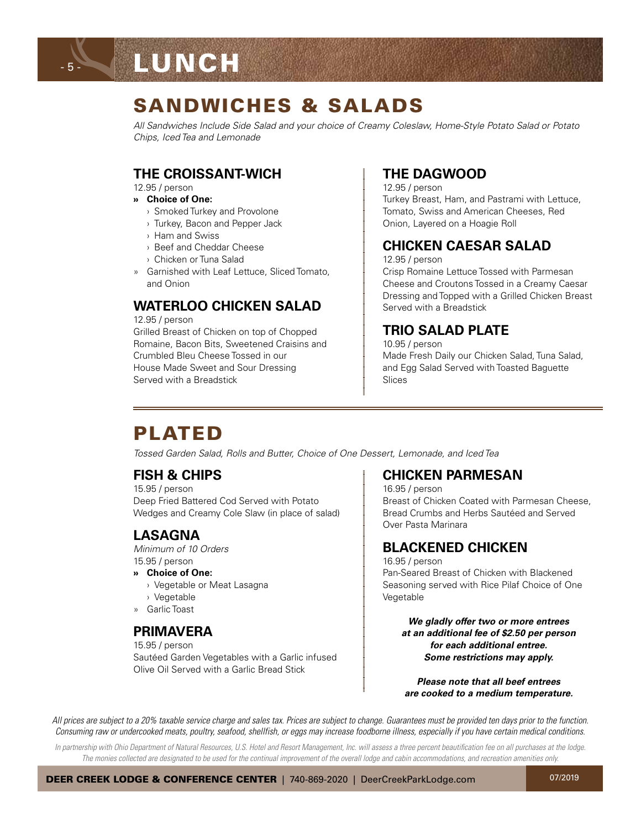## SANDWICHES & SALADS

*All Sandwiches Include Side Salad and your choice of Creamy Coleslaw, Home-Style Potato Salad or Potato Chips, Iced Tea and Lemonade*

#### **THE CROISSANT-WICH**

12.95 / person

- 5 -

- **» Choice of One:**
	- › Smoked Turkey and Provolone
	- › Turkey, Bacon and Pepper Jack
	- › Ham and Swiss
	- › Beef and Cheddar Cheese
	- › Chicken or Tuna Salad
- » Garnished with Leaf Lettuce, Sliced Tomato, and Onion

## **WATERLOO CHICKEN SALAD**

12.95 / person

Grilled Breast of Chicken on top of Chopped Romaine, Bacon Bits, Sweetened Craisins and Crumbled Bleu Cheese Tossed in our House Made Sweet and Sour Dressing Served with a Breadstick

### **THE DAGWOOD**

12.95 / person Turkey Breast, Ham, and Pastrami with Lettuce, Tomato, Swiss and American Cheeses, Red Onion, Layered on a Hoagie Roll

### **CHICKEN CAESAR SALAD**

12.95 / person

Crisp Romaine Lettuce Tossed with Parmesan Cheese and Croutons Tossed in a Creamy Caesar Dressing and Topped with a Grilled Chicken Breast Served with a Breadstick

## **TRIO SALAD PLATE**

10.95 / person Made Fresh Daily our Chicken Salad, Tuna Salad, and Egg Salad Served with Toasted Baguette Slices

# PLATED

*Tossed Garden Salad, Rolls and Butter, Choice of One Dessert, Lemonade, and Iced Tea*

## **FISH & CHIPS**

15.95 / person Deep Fried Battered Cod Served with Potato Wedges and Creamy Cole Slaw (in place of salad)

### **LASAGNA**

*Minimum of 10 Orders* 15.95 / person

- **» Choice of One:**
	- › Vegetable or Meat Lasagna
	- › Vegetable
- » Garlic Toast

### **PRIMAVERA**

15.95 / person Sautéed Garden Vegetables with a Garlic infused Olive Oil Served with a Garlic Bread Stick

#### **CHICKEN PARMESAN**

16.95 / person Breast of Chicken Coated with Parmesan Cheese, Bread Crumbs and Herbs Sautéed and Served Over Pasta Marinara

## **BLACKENED CHICKEN**

16.95 / person Pan-Seared Breast of Chicken with Blackened Seasoning served with Rice Pilaf Choice of One Vegetable

*We gladly offer two or more entrees at an additional fee of \$2.50 per person for each additional entree. Some restrictions may apply.*

*Please note that all beef entrees are cooked to a medium temperature.*

*All prices are subject to a 20% taxable service charge and sales tax. Prices are subject to change. Guarantees must be provided ten days prior to the function. Consuming raw or undercooked meats, poultry, seafood, shellfish, or eggs may increase foodborne illness, especially if you have certain medical conditions.*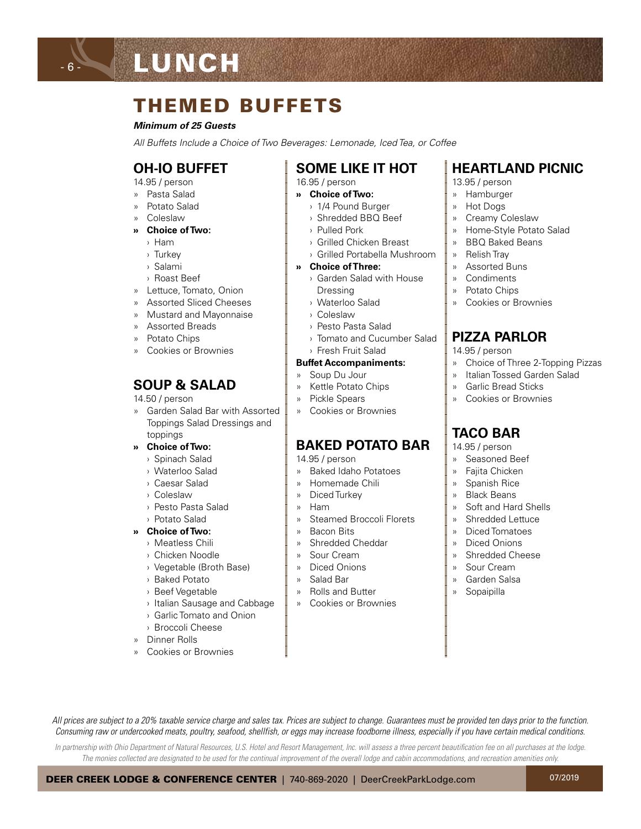# **LUNCH**

# THEMED BUFFETS

#### *Minimum of 25 Guests*

*All Buffets Include a Choice of Two Beverages: Lemonade, Iced Tea, or Coffee*

### **OH-IO BUFFET**

14.95 / person

- 6 -

- » Pasta Salad
- » Potato Salad
- » Coleslaw

#### **» Choice of Two:**

- › Ham
- › Turkey
- › Salami
- › Roast Beef
- » Lettuce, Tomato, Onion
- » Assorted Sliced Cheeses
- » Mustard and Mayonnaise
- » Assorted Breads
- » Potato Chips
- » Cookies or Brownies

## **SOUP & SALAD**

#### 14.50 / person

- » Garden Salad Bar with Assorted Toppings Salad Dressings and toppings
- **» Choice of Two:**
	- › Spinach Salad
	- › Waterloo Salad
	- › Caesar Salad
	- › Coleslaw
	- › Pesto Pasta Salad
	- › Potato Salad
- **» Choice of Two:**
	- › Meatless Chili
	- › Chicken Noodle
	- › Vegetable (Broth Base)
	- › Baked Potato
	- › Beef Vegetable
	- › Italian Sausage and Cabbage
	- › Garlic Tomato and Onion
	- › Broccoli Cheese
- » Dinner Rolls
- » Cookies or Brownies

## **SOME LIKE IT HOT**

- 16.95 / person
- **» Choice of Two:**
	- › 1/4 Pound Burger
	- › Shredded BBQ Beef
	- › Pulled Pork
	- › Grilled Chicken Breast
	- › Grilled Portabella Mushroom
- **» Choice of Three:**
	- › Garden Salad with House Dressing
	- › Waterloo Salad
	- › Coleslaw
	- › Pesto Pasta Salad
	- › Tomato and Cucumber Salad
	- › Fresh Fruit Salad

#### **Buffet Accompaniments:**

- » Soup Du Jour
- » Kettle Potato Chips
- » Pickle Spears
- » Cookies or Brownies

#### **BAKED POTATO BAR**

- 14.95 / person
- » Baked Idaho Potatoes
- » Homemade Chili
- » Diced Turkey
- » Ham
- » Steamed Broccoli Florets
- » Bacon Bits
- » Shredded Cheddar
- » Sour Cream
- » Diced Onions
- » Salad Bar

*All prices are subject to a 20% taxable service charge and sales tax. Prices are subject to change. Guarantees must be provided ten days prior to the function. Consuming raw or undercooked meats, poultry, seafood, shellfish, or eggs may increase foodborne illness, especially if you have certain medical conditions. In partnership with Ohio Department of Natural Resources, U.S. Hotel and Resort Management, Inc. will assess a three percent beautification fee on all purchases at the lodge.*  The monies collected are designated to be used for the continual improvement of the overall lodge and cabin accommodations, and recreation amenities only.

DEER CREEK LODGE & CONFERENCE CENTER | 740-869-2020 | DeerCreekParkLodge.com

- 
- » Rolls and Butter
- » Cookies or Brownies

### **HEARTLAND PICNIC**

- 13.95 / person
- » Hamburger
- » Hot Dogs
- » Creamy Coleslaw
- » Home-Style Potato Salad
- » BBQ Baked Beans
- » Relish Tray
- » Assorted Buns
- » Condiments
- » Potato Chips
- » Cookies or Brownies

#### **PIZZA PARLOR**

- 14.95 / person
- » Choice of Three 2-Topping Pizzas

07/2019

- » Italian Tossed Garden Salad
- » Garlic Bread Sticks
- » Cookies or Brownies

#### **TACO BAR**

14.95 / person

- » Seasoned Beef
- » Fajita Chicken
- » Spanish Rice
- » Black Beans

» Soft and Hard Shells » Shredded Lettuce » Diced Tomatoes » Diced Onions » Shredded Cheese » Sour Cream » Garden Salsa » Sopaipilla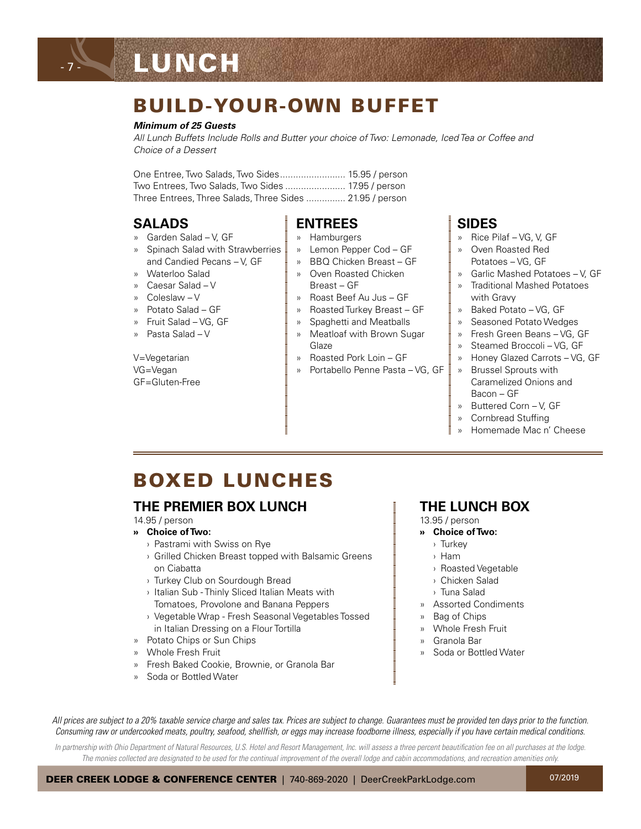# LUNCH

- 7 -

## BUILD-YOUR-OWN BUFFET

#### *Minimum of 25 Guests*

*All Lunch Buffets Include Rolls and Butter your choice of Two: Lemonade, Iced Tea or Coffee and Choice of a Dessert*

One Entree, Two Salads, Two Sides......................... 15.95 / person Two Entrees, Two Salads, Two Sides ....................... 17.95 / person Three Entrees, Three Salads, Three Sides ............... 21.95 / person

#### **SALADS**

- » Garden Salad V, GF
- » Spinach Salad with Strawberries and Candied Pecans – V, GF
- » Waterloo Salad
- » Caesar Salad V
- » Coleslaw V
- » Potato Salad GF
- » Fruit Salad VG, GF
- » Pasta Salad V

V=Vegetarian VG=Vegan GF=Gluten-Free

### **ENTREES**

- » Hamburgers
- » Lemon Pepper Cod GF
- » BBQ Chicken Breast GF » Oven Roasted Chicken
- Breast GF
- » Roast Beef Au Jus GF
- » Roasted Turkey Breast GF » Spaghetti and Meatballs
- » Meatloaf with Brown Sugar
- Glaze » Roasted Pork Loin – GF
- » Portabello Penne Pasta VG, GF
- **SIDES** » Rice Pilaf – VG, V, GF
- » Oven Roasted Red Potatoes – VG, GF
- » Garlic Mashed Potatoes V, GF
- » Traditional Mashed Potatoes with Gravy
- » Baked Potato VG, GF
- » Seasoned Potato Wedges
- » Fresh Green Beans VG, GF
- » Steamed Broccoli VG, GF
- » Honey Glazed Carrots VG, GF
- » Brussel Sprouts with Caramelized Onions and Bacon – GF
- » Buttered Corn V, GF
- » Cornbread Stuffing
- » Homemade Mac n' Cheese

# BOXED LUNCHES

## **THE PREMIER BOX LUNCH**

#### 14.95 / person

- **» Choice of Two:**
	- › Pastrami with Swiss on Rye
	- › Grilled Chicken Breast topped with Balsamic Greens on Ciabatta
	- › Turkey Club on Sourdough Bread
	- › Italian Sub Thinly Sliced Italian Meats with Tomatoes, Provolone and Banana Peppers
	- › Vegetable Wrap Fresh Seasonal Vegetables Tossed in Italian Dressing on a Flour Tortilla
- » Potato Chips or Sun Chips
- » Whole Fresh Fruit
- » Fresh Baked Cookie, Brownie, or Granola Bar
- » Soda or Bottled Water

## **THE LUNCH BOX**

- 13.95 / person
- **» Choice of Two:**
	- › Turkey
	- › Ham
	- › Roasted Vegetable
	- › Chicken Salad
	- › Tuna Salad
- » Assorted Condiments
- » Bag of Chips
- » Whole Fresh Fruit
- » Granola Bar
- » Soda or Bottled Water

*All prices are subject to a 20% taxable service charge and sales tax. Prices are subject to change. Guarantees must be provided ten days prior to the function. Consuming raw or undercooked meats, poultry, seafood, shellfish, or eggs may increase foodborne illness, especially if you have certain medical conditions.*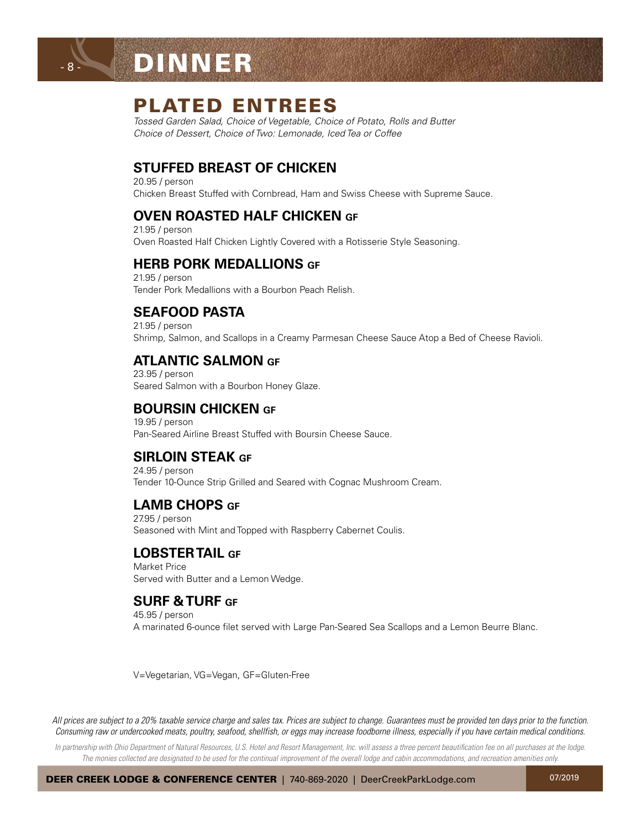

- 8 -

## PLATED ENTREES

*Tossed Garden Salad, Choice of Vegetable, Choice of Potato, Rolls and Butter Choice of Dessert, Choice of Two: Lemonade, Iced Tea or Coffee*

### **STUFFED BREAST OF CHICKEN**

20.95 / person Chicken Breast Stuffed with Cornbread, Ham and Swiss Cheese with Supreme Sauce.

### **OVEN ROASTED HALF CHICKEN GF**

21.95 / person Oven Roasted Half Chicken Lightly Covered with a Rotisserie Style Seasoning.

#### **HERB PORK MEDALLIONS GF**

21.95 / person Tender Pork Medallions with a Bourbon Peach Relish.

## **SEAFOOD PASTA**

21.95 / person Shrimp, Salmon, and Scallops in a Creamy Parmesan Cheese Sauce Atop a Bed of Cheese Ravioli.

#### **ATLANTIC SALMON GF**

23.95 / person Seared Salmon with a Bourbon Honey Glaze.

#### **BOURSIN CHICKEN GF**

19.95 / person Pan-Seared Airline Breast Stuffed with Boursin Cheese Sauce.

## **SIRLOIN STEAK GF**

24.95 / person Tender 10-Ounce Strip Grilled and Seared with Cognac Mushroom Cream.

## **LAMB CHOPS GF**

27.95 / person Seasoned with Mint and Topped with Raspberry Cabernet Coulis.

### **LOBSTER TAIL GF**

Market Price Served with Butter and a Lemon Wedge.

#### **SURF & TURF GF**

45.95 / person A marinated 6-ounce filet served with Large Pan-Seared Sea Scallops and a Lemon Beurre Blanc.

V=Vegetarian, VG=Vegan, GF=Gluten-Free

*All prices are subject to a 20% taxable service charge and sales tax. Prices are subject to change. Guarantees must be provided ten days prior to the function. Consuming raw or undercooked meats, poultry, seafood, shellfish, or eggs may increase foodborne illness, especially if you have certain medical conditions.*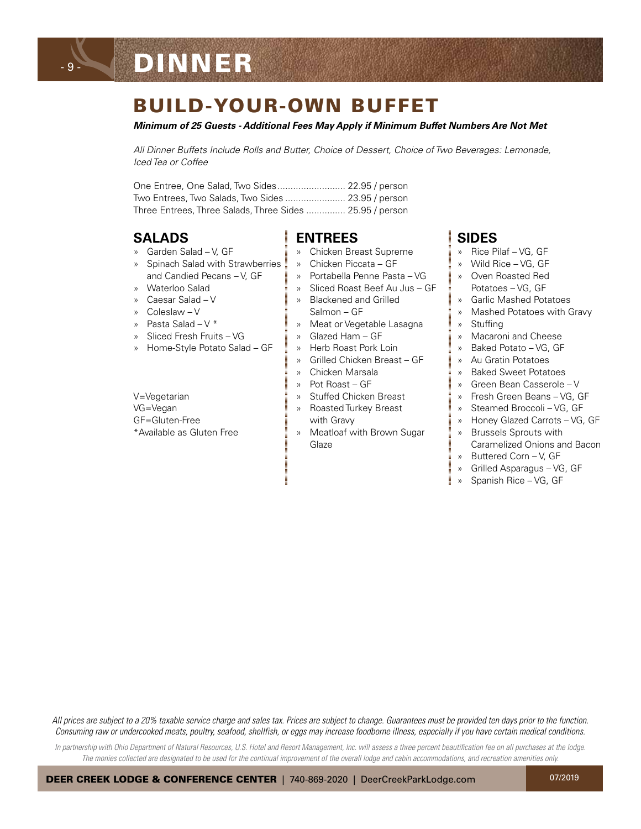# DINNER

- 9 -

## BUILD-YOUR-OWN BUFFET

*Minimum of 25 Guests - Additional Fees May Apply if Minimum Buffet Numbers Are Not Met*

*All Dinner Buffets Include Rolls and Butter, Choice of Dessert, Choice of Two Beverages: Lemonade, Iced Tea or Coffee*

| Two Entrees, Two Salads, Two Sides  23.95 / person       |  |
|----------------------------------------------------------|--|
| Three Entrees, Three Salads, Three Sides  25.95 / person |  |

#### **SALADS**

- » Garden Salad V, GF
- » Spinach Salad with Strawberries and Candied Pecans – V, GF
- » Waterloo Salad
- » Caesar Salad V
- » Coleslaw V
- » Pasta Salad V \*
- » Sliced Fresh Fruits VG
- » Home-Style Potato Salad GF

V=Vegetarian VG=Vegan GF=Gluten-Free \*Available as Gluten Free

## **ENTREES**

- » Chicken Breast Supreme
- » Chicken Piccata GF
- » Portabella Penne Pasta VG
- » Sliced Roast Beef Au Jus GF
- » Blackened and Grilled
- Salmon GF
- » Meat or Vegetable Lasagna
- » Glazed Ham GF
- » Herb Roast Pork Loin
- » Grilled Chicken Breast GF
- » Chicken Marsala
- » Pot Roast GF
- » Stuffed Chicken Breast
- » Roasted Turkey Breast
- with Gravy
- » Meatloaf with Brown Sugar Glaze

#### **SIDES**

- » Rice Pilaf VG, GF
- » Wild Rice VG, GF
- » Oven Roasted Red Potatoes – VG, GF
- » Garlic Mashed Potatoes
- » Mashed Potatoes with Gravy
- » Stuffing
- » Macaroni and Cheese
- » Baked Potato VG, GF
- » Au Gratin Potatoes
- » Baked Sweet Potatoes
- » Green Bean Casserole V
- » Fresh Green Beans VG, GF
- » Steamed Broccoli VG, GF
- » Honey Glazed Carrots VG, GF
- » Brussels Sprouts with Caramelized Onions and Bacon
- » Buttered Corn V, GF
- » Grilled Asparagus VG, GF
- » Spanish Rice VG, GF

*All prices are subject to a 20% taxable service charge and sales tax. Prices are subject to change. Guarantees must be provided ten days prior to the function. Consuming raw or undercooked meats, poultry, seafood, shellfish, or eggs may increase foodborne illness, especially if you have certain medical conditions.*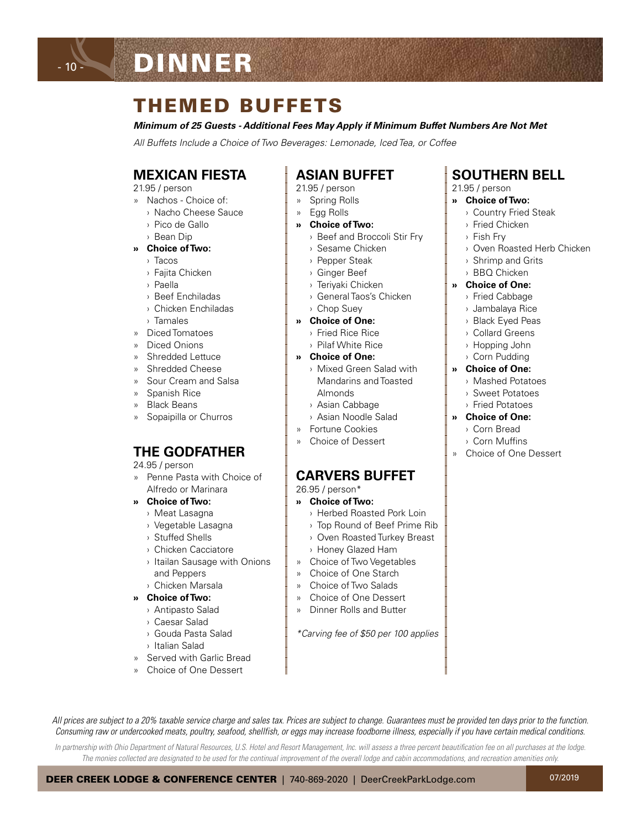## THEMED BUFFETS

*Minimum of 25 Guests - Additional Fees May Apply if Minimum Buffet Numbers Are Not Met*

*All Buffets Include a Choice of Two Beverages: Lemonade, Iced Tea, or Coffee*

### **MEXICAN FIESTA**

21.95 / person

- 10 -

- » Nachos Choice of:
	- › Nacho Cheese Sauce
	- › Pico de Gallo
	- › Bean Dip

#### **» Choice of Two:**

- › Tacos
- › Fajita Chicken
- › Paella
- › Beef Enchiladas
- › Chicken Enchiladas
- › Tamales
- » Diced Tomatoes
- » Diced Onions
- » Shredded Lettuce
- » Shredded Cheese
- » Sour Cream and Salsa
- » Spanish Rice
- » Black Beans
- » Sopaipilla or Churros

#### **THE GODFATHER**

24.95 / person

- » Penne Pasta with Choice of Alfredo or Marinara
- **» Choice of Two:**
	- › Meat Lasagna
	- › Vegetable Lasagna
	- › Stuffed Shells
	- › Chicken Cacciatore
	- › Itailan Sausage with Onions and Peppers › Chicken Marsala
- **» Choice of Two:**
	- › Antipasto Salad
	- › Caesar Salad
	- › Gouda Pasta Salad
	- › Italian Salad
- » Served with Garlic Bread
- » Choice of One Dessert

## **ASIAN BUFFET**

- 21.95 / person
- » Spring Rolls
- » Egg Rolls
- **» Choice of Two:**
	- › Beef and Broccoli Stir Fry
	- › Sesame Chicken
	- › Pepper Steak
	- › Ginger Beef
	- › Teriyaki Chicken
	- › General Taos's Chicken
	- › Chop Suey
- **» Choice of One:**
	- › Fried Rice Rice
	- › Pilaf White Rice
- **» Choice of One:**
- › Mixed Green Salad with Mandarins and Toasted Almonds
	- › Asian Cabbage
- › Asian Noodle Salad
- » Fortune Cookies
- » Choice of Dessert

#### **CARVERS BUFFET**

26.95 / person\*

- **» Choice of Two:**
	- › Herbed Roasted Pork Loin
	- › Top Round of Beef Prime Rib
	- › Oven Roasted Turkey Breast
	- › Honey Glazed Ham
- » Choice of Two Vegetables
- » Choice of One Starch
- » Choice of Two Salads
- » Choice of One Dessert
- » Dinner Rolls and Butter

*All prices are subject to a 20% taxable service charge and sales tax. Prices are subject to change. Guarantees must be provided ten days prior to the function. Consuming raw or undercooked meats, poultry, seafood, shellfish, or eggs may increase foodborne illness, especially if you have certain medical conditions. In partnership with Ohio Department of Natural Resources, U.S. Hotel and Resort Management, Inc. will assess a three percent beautification fee on all purchases at the lodge.*  The monies collected are designated to be used for the continual improvement of the overall lodge and cabin accommodations, and recreation amenities only.

*\*Carving fee of \$50 per 100 applies*

#### **SOUTHERN BELL**

- 21.95 / person
- **» Choice of Two:**
	- › Country Fried Steak
	- › Fried Chicken
	- › Fish Fry
	- › Oven Roasted Herb Chicken
	- › Shrimp and Grits
	- › BBQ Chicken

#### **» Choice of One:**

- › Fried Cabbage
- › Jambalaya Rice
- › Black Eyed Peas
- › Collard Greens
- › Hopping John
- › Corn Pudding
- **» Choice of One:**
	- › Mashed Potatoes
	- › Sweet Potatoes
	- › Fried Potatoes
- **» Choice of One:**
	- › Corn Bread
	- › Corn Muffins
- » Choice of One Dessert

07/2019

DEER CREEK LODGE & CONFERENCE CENTER | 740-869-2020 | DeerCreekParkLodge.com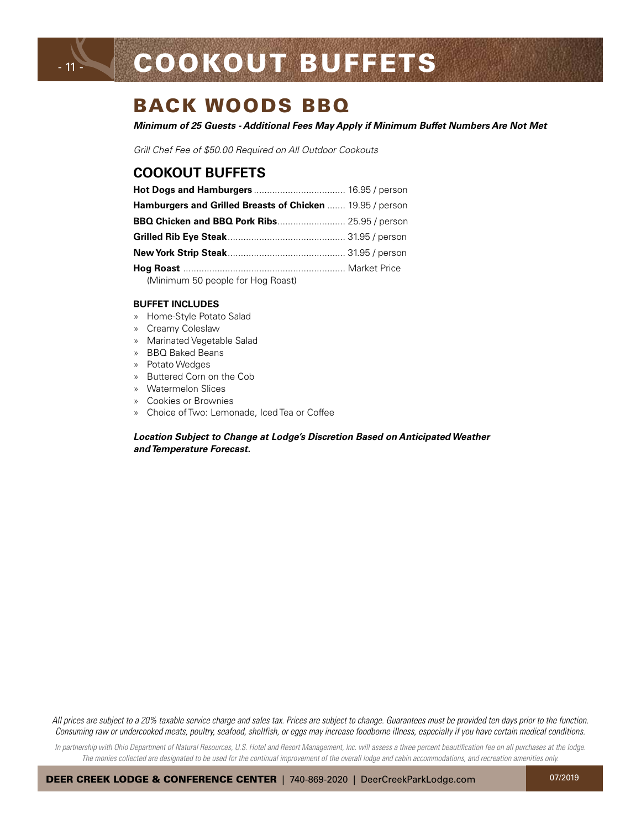## BACK WOODS BBQ

*Minimum of 25 Guests - Additional Fees May Apply if Minimum Buffet Numbers Are Not Met*

*Grill Chef Fee of \$50.00 Required on All Outdoor Cookouts*

### **COOKOUT BUFFETS**

- 11 -

| Hamburgers and Grilled Breasts of Chicken  19.95 / person |  |
|-----------------------------------------------------------|--|
| BBQ Chicken and BBQ Pork Ribs 25.95 / person              |  |
|                                                           |  |
|                                                           |  |
|                                                           |  |
| (Minimum 50 people for Hog Roast)                         |  |

#### **BUFFET INCLUDES**

- » Home-Style Potato Salad
- » Creamy Coleslaw
- » Marinated Vegetable Salad
- » BBQ Baked Beans
- » Potato Wedges
- » Buttered Corn on the Cob
- » Watermelon Slices
- » Cookies or Brownies
- » Choice of Two: Lemonade, Iced Tea or Coffee

#### *Location Subject to Change at Lodge's Discretion Based on Anticipated Weather and Temperature Forecast.*

*All prices are subject to a 20% taxable service charge and sales tax. Prices are subject to change. Guarantees must be provided ten days prior to the function. Consuming raw or undercooked meats, poultry, seafood, shellfish, or eggs may increase foodborne illness, especially if you have certain medical conditions.*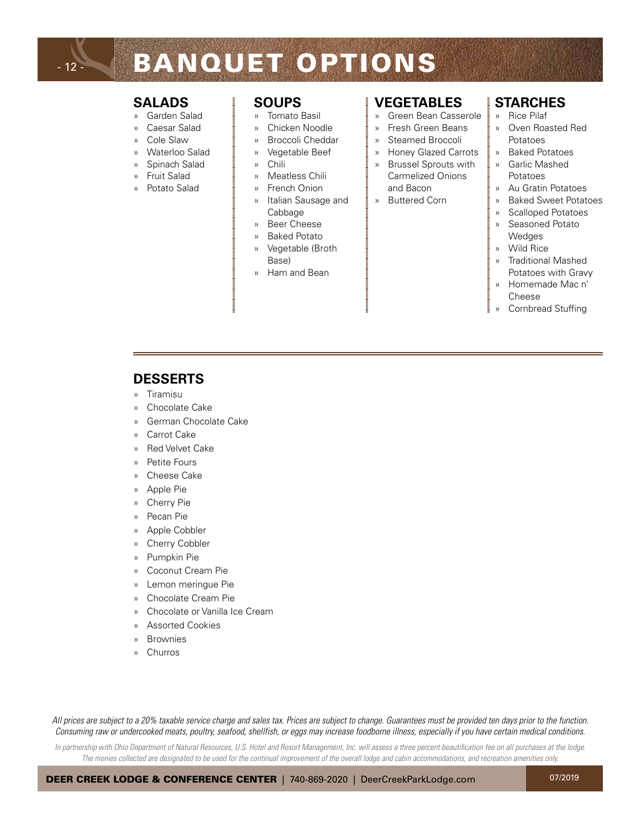## - 12 -

# BANQUET OPTIONS

#### **SALADS**

- » Garden Salad
- » Caesar Salad
- » Cole Slaw
- » Waterloo Salad
- » Spinach Salad
- » Fruit Salad
- » Potato Salad

#### **SOUPS**

- » Tomato Basil
- » Chicken Noodle
- » Broccoli Cheddar
- Vegetable Beef
- » Chili
- » Meatless Chili
- » French Onion
- » Italian Sausage and Cabbage
- » Beer Cheese
- » Baked Potato
- » Vegetable (Broth Base)
- » Ham and Bean

#### **VEGETABLES**

- » Green Bean Casserole
- » Fresh Green Beans
- Steamed Broccoli
- » Honey Glazed Carrots
- » Brussel Sprouts with Carmelized Onions and Bacon
- » Buttered Corn

#### **STARCHES**

- » Rice Pilaf
- » Oven Roasted Red Potatoes
- » Baked Potatoes » Garlic Mashed
- Potatoes
- » Au Gratin Potatoes
- » Baked Sweet Potatoes
- » Scalloped Potatoes
- » Seasoned Potato **Wedges**
- » Wild Rice
- » Traditional Mashed Potatoes with Gravy
- » Homemade Mac n' Cheese
- » Cornbread Stuffing

#### **DESSERTS**

- » Tiramisu
- » Chocolate Cake
- » German Chocolate Cake
- » Carrot Cake
- » Red Velvet Cake
- » Petite Fours
- » Cheese Cake
- » Apple Pie
- » Cherry Pie
- Pecan Pie
- » Apple Cobbler
- » Cherry Cobbler
- » Pumpkin Pie
- » Coconut Cream Pie
- » Lemon meringue Pie
- » Chocolate Cream Pie
- » Chocolate or Vanilla Ice Cream
- » Assorted Cookies
- **Brownies**
- » Churros

*All prices are subject to a 20% taxable service charge and sales tax. Prices are subject to change. Guarantees must be provided ten days prior to the function. Consuming raw or undercooked meats, poultry, seafood, shellfish, or eggs may increase foodborne illness, especially if you have certain medical conditions.*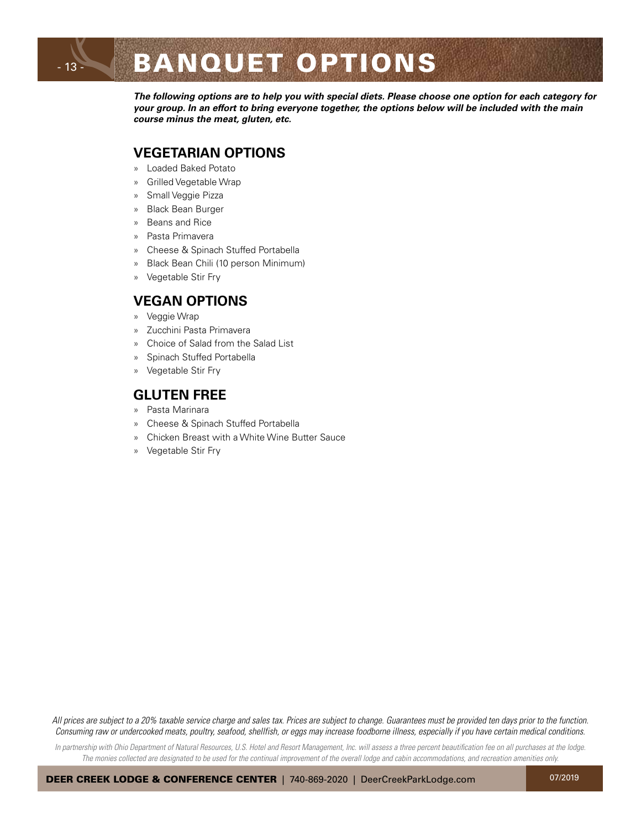*The following options are to help you with special diets. Please choose one option for each category for your group. In an effort to bring everyone together, the options below will be included with the main course minus the meat, gluten, etc.*

#### **VEGETARIAN OPTIONS**

- » Loaded Baked Potato
- » Grilled Vegetable Wrap
- » Small Veggie Pizza

- 13 -

- » Black Bean Burger
- » Beans and Rice
- » Pasta Primavera
- » Cheese & Spinach Stuffed Portabella
- » Black Bean Chili (10 person Minimum)
- » Vegetable Stir Fry

### **VEGAN OPTIONS**

- » Veggie Wrap
- » Zucchini Pasta Primavera
- » Choice of Salad from the Salad List
- » Spinach Stuffed Portabella
- » Vegetable Stir Fry

#### **GLUTEN FREE**

- » Pasta Marinara
- » Cheese & Spinach Stuffed Portabella
- » Chicken Breast with a White Wine Butter Sauce
- » Vegetable Stir Fry

*All prices are subject to a 20% taxable service charge and sales tax. Prices are subject to change. Guarantees must be provided ten days prior to the function. Consuming raw or undercooked meats, poultry, seafood, shellfish, or eggs may increase foodborne illness, especially if you have certain medical conditions.*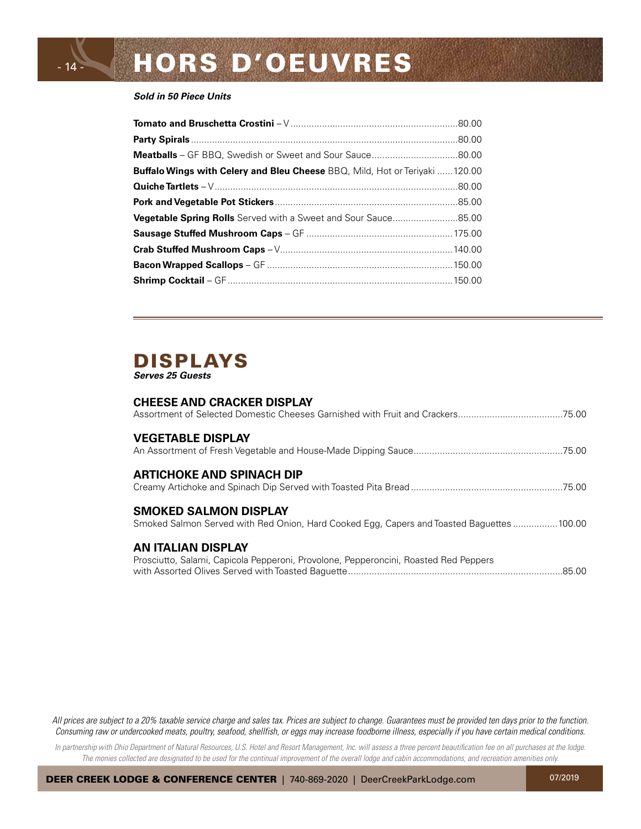#### *Sold in 50 Piece Units*

- 14 -

| <b>Buffalo Wings with Celery and Bleu Cheese</b> BBQ, Mild, Hot or Teriyaki 120.00 |  |
|------------------------------------------------------------------------------------|--|
|                                                                                    |  |
|                                                                                    |  |
| <b>Vegetable Spring Rolls</b> Served with a Sweet and Sour Sauce85.00              |  |
|                                                                                    |  |
|                                                                                    |  |
|                                                                                    |  |
|                                                                                    |  |

#### DISPLAYS *Serves 25 Guests*

#### **CHEESE AND CRACKER DISPLAY**

| <b>VEGETABLE DISPLAY</b>                                                                                                  |
|---------------------------------------------------------------------------------------------------------------------------|
| <b>ARTICHOKE AND SPINACH DIP</b>                                                                                          |
| <b>SMOKED SALMON DISPLAY</b><br>Smoked Salmon Served with Red Onion, Hard Cooked Egg, Capers and Toasted Baguettes 100.00 |
| AN ITALIAN DISPLAY<br>Prosciutto, Salami, Capicola Pepperoni, Provolone, Pepperoncini, Roasted Red Peppers                |

*All prices are subject to a 20% taxable service charge and sales tax. Prices are subject to change. Guarantees must be provided ten days prior to the function. Consuming raw or undercooked meats, poultry, seafood, shellfish, or eggs may increase foodborne illness, especially if you have certain medical conditions.*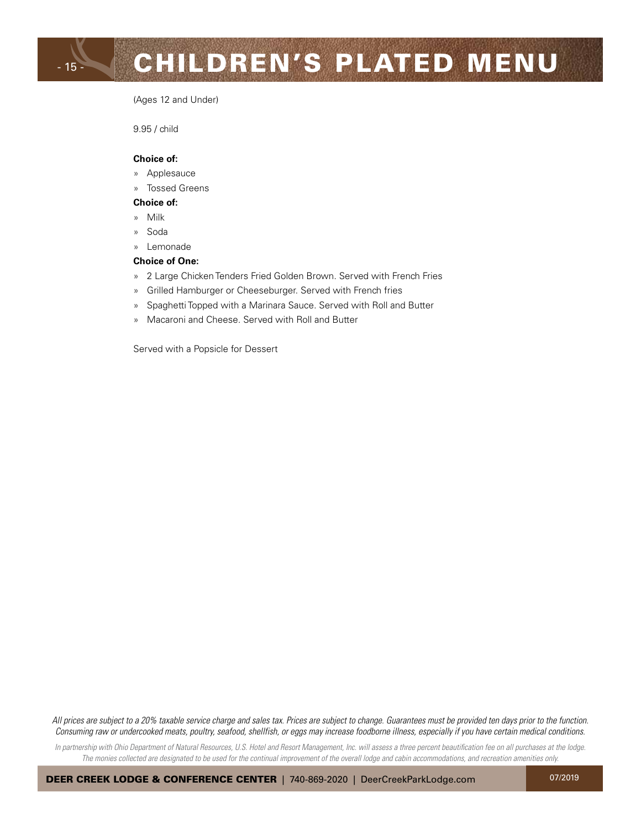# CHILDREN'S PLATED MENU

(Ages 12 and Under)

9.95 / child

#### **Choice of:**

- » Applesauce
- » Tossed Greens

#### **Choice of:**

- » Milk
- » Soda
- » Lemonade

#### **Choice of One:**

- » 2 Large Chicken Tenders Fried Golden Brown. Served with French Fries
- » Grilled Hamburger or Cheeseburger. Served with French fries
- » Spaghetti Topped with a Marinara Sauce. Served with Roll and Butter
- » Macaroni and Cheese. Served with Roll and Butter

Served with a Popsicle for Dessert

*All prices are subject to a 20% taxable service charge and sales tax. Prices are subject to change. Guarantees must be provided ten days prior to the function. Consuming raw or undercooked meats, poultry, seafood, shellfish, or eggs may increase foodborne illness, especially if you have certain medical conditions.*